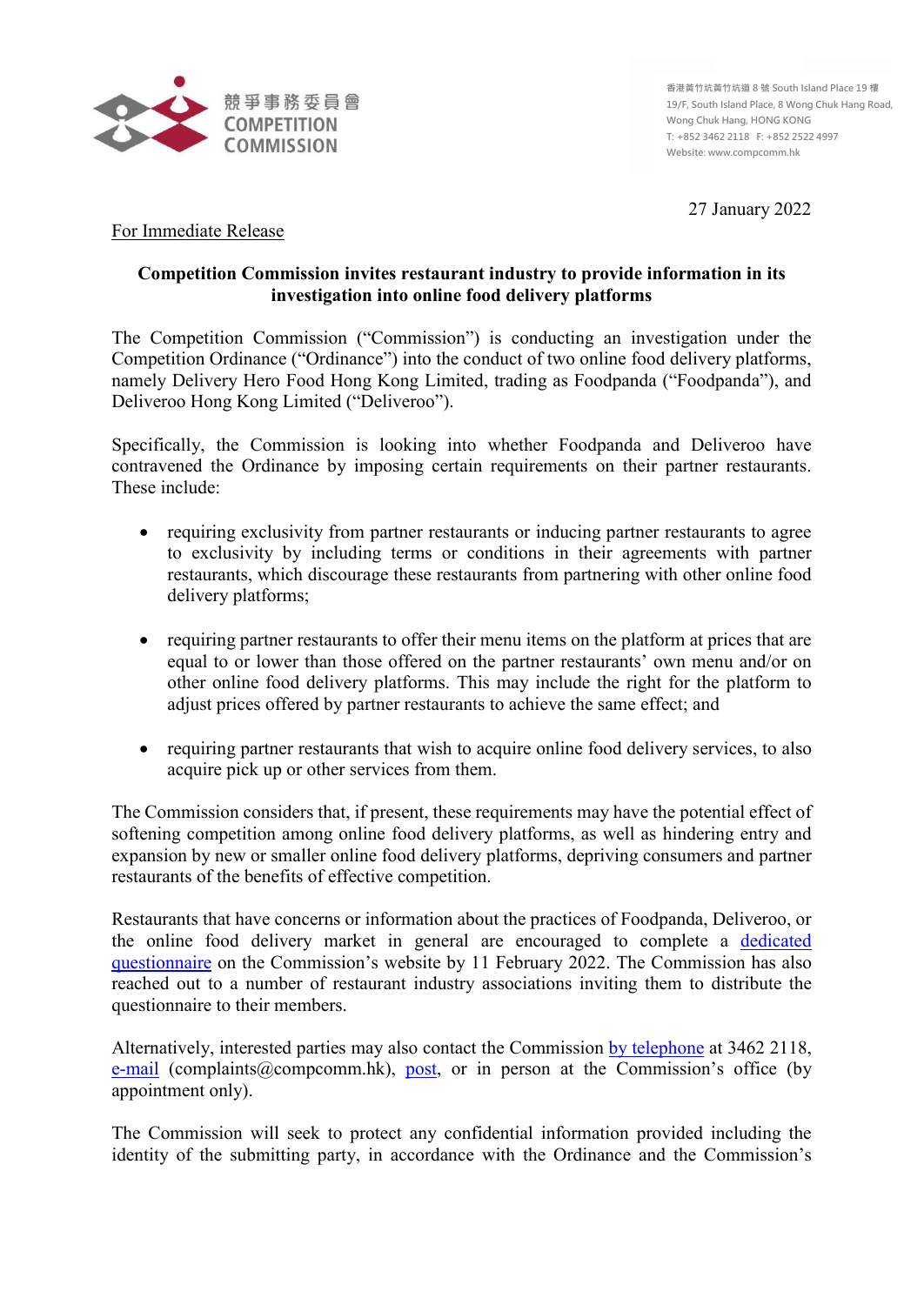

27 January 2022

## For Immediate Release

## **Competition Commission invites restaurant industry to provide information in its investigation into online food delivery platforms**

The Competition Commission ("Commission") is conducting an investigation under the Competition Ordinance ("Ordinance") into the conduct of two online food delivery platforms, namely Delivery Hero Food Hong Kong Limited, trading as Foodpanda ("Foodpanda"), and Deliveroo Hong Kong Limited ("Deliveroo").

Specifically, the Commission is looking into whether Foodpanda and Deliveroo have contravened the Ordinance by imposing certain requirements on their partner restaurants. These include:

- requiring exclusivity from partner restaurants or inducing partner restaurants to agree to exclusivity by including terms or conditions in their agreements with partner restaurants, which discourage these restaurants from partnering with other online food delivery platforms;
- requiring partner restaurants to offer their menu items on the platform at prices that are equal to or lower than those offered on the partner restaurants' own menu and/or on other online food delivery platforms. This may include the right for the platform to adjust prices offered by partner restaurants to achieve the same effect; and
- requiring partner restaurants that wish to acquire online food delivery services, to also acquire pick up or other services from them.

The Commission considers that, if present, these requirements may have the potential effect of softening competition among online food delivery platforms, as well as hindering entry and expansion by new or smaller online food delivery platforms, depriving consumers and partner restaurants of the benefits of effective competition.

Restaurants that have concerns or information about the practices of Foodpanda, Deliveroo, or the online food delivery market in general are encouraged to complete a [dedicated](https://www.compcomm.hk/en/survey.php)  [questionnaire](https://www.compcomm.hk/en/survey.php) on the Commission's website by 11 February 2022. The Commission has also reached out to a number of restaurant industry associations inviting them to distribute the questionnaire to their members.

Alternatively, interested parties may also contact the Commission [by telephone](https://www.compcomm.hk/en/applications/make_a_complaint/complaint.html#phone) at 3462 2118, [e-mail](https://www.compcomm.hk/en/applications/make_a_complaint/complaint.html#email) (complaints  $@$  compcomm.hk), [post,](https://www.compcomm.hk/en/applications/make_a_complaint/complaint.html#post_icon) or in person at the Commission's office (by appointment only).

The Commission will seek to protect any confidential information provided including the identity of the submitting party, in accordance with the Ordinance and the Commission's